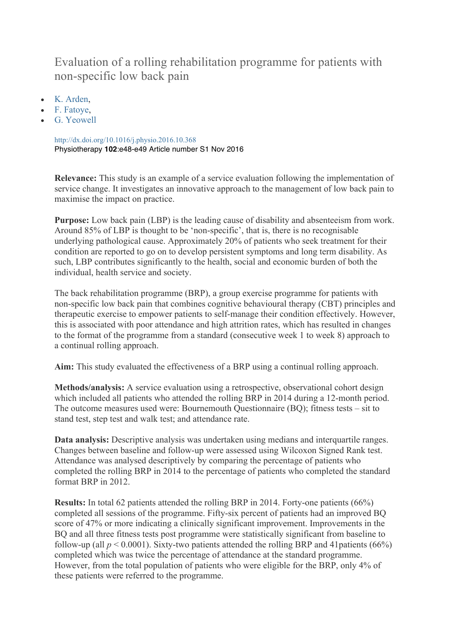## Evaluation of a rolling rehabilitation programme for patients with non-specific low back pain

- K. Arden,
- F. Fatoye,
- G. Yeowell

http://dx.doi.org/10.1016/j.physio.2016.10.368 Physiotherapy **102**:e48-e49 Article number S1 Nov 2016

**Relevance:** This study is an example of a service evaluation following the implementation of service change. It investigates an innovative approach to the management of low back pain to maximise the impact on practice.

**Purpose:** Low back pain (LBP) is the leading cause of disability and absenteeism from work. Around 85% of LBP is thought to be 'non-specific', that is, there is no recognisable underlying pathological cause. Approximately 20% of patients who seek treatment for their condition are reported to go on to develop persistent symptoms and long term disability. As such, LBP contributes significantly to the health, social and economic burden of both the individual, health service and society.

The back rehabilitation programme (BRP), a group exercise programme for patients with non-specific low back pain that combines cognitive behavioural therapy (CBT) principles and therapeutic exercise to empower patients to self-manage their condition effectively. However, this is associated with poor attendance and high attrition rates, which has resulted in changes to the format of the programme from a standard (consecutive week 1 to week 8) approach to a continual rolling approach.

**Aim:** This study evaluated the effectiveness of a BRP using a continual rolling approach.

**Methods/analysis:** A service evaluation using a retrospective, observational cohort design which included all patients who attended the rolling BRP in 2014 during a 12-month period. The outcome measures used were: Bournemouth Questionnaire (BQ); fitness tests – sit to stand test, step test and walk test; and attendance rate.

**Data analysis:** Descriptive analysis was undertaken using medians and interquartile ranges. Changes between baseline and follow-up were assessed using Wilcoxon Signed Rank test. Attendance was analysed descriptively by comparing the percentage of patients who completed the rolling BRP in 2014 to the percentage of patients who completed the standard format BRP in 2012.

**Results:** In total 62 patients attended the rolling BRP in 2014. Forty-one patients (66%) completed all sessions of the programme. Fifty-six percent of patients had an improved BQ score of 47% or more indicating a clinically significant improvement. Improvements in the BQ and all three fitness tests post programme were statistically significant from baseline to follow-up (all  $p < 0.0001$ ). Sixty-two patients attended the rolling BRP and 41 patients (66%) completed which was twice the percentage of attendance at the standard programme. However, from the total population of patients who were eligible for the BRP, only 4% of these patients were referred to the programme.